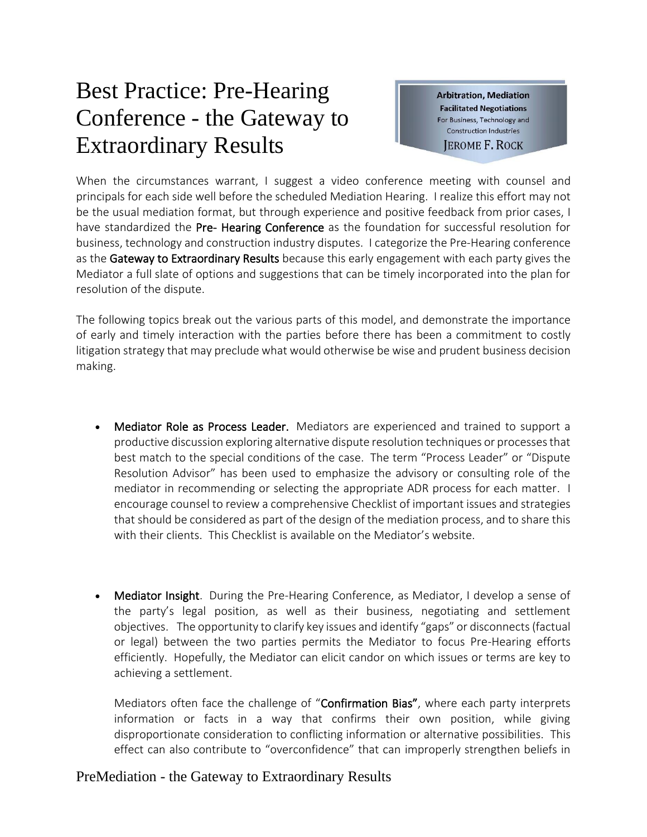## Best Practice: Pre-Hearing Conference - the Gateway to Extraordinary Results

**Arbitration, Mediation Facilitated Negotiations** For Business, Technology and **Construction Industries JEROME F. ROCK** 

When the circumstances warrant, I suggest a video conference meeting with counsel and principals for each side well before the scheduled Mediation Hearing. I realize this effort may not be the usual mediation format, but through experience and positive feedback from prior cases, I have standardized the Pre- Hearing Conference as the foundation for successful resolution for business, technology and construction industry disputes. I categorize the Pre-Hearing conference as the Gateway to Extraordinary Results because this early engagement with each party gives the Mediator a full slate of options and suggestions that can be timely incorporated into the plan for resolution of the dispute.

The following topics break out the various parts of this model, and demonstrate the importance of early and timely interaction with the parties before there has been a commitment to costly litigation strategy that may preclude what would otherwise be wise and prudent business decision making.

- Mediator Role as Process Leader. Mediators are experienced and trained to support a productive discussion exploring alternative dispute resolution techniques or processes that best match to the special conditions of the case. The term "Process Leader" or "Dispute Resolution Advisor" has been used to emphasize the advisory or consulting role of the mediator in recommending or selecting the appropriate ADR process for each matter. I encourage counsel to review a comprehensive Checklist of important issues and strategies that should be considered as part of the design of the mediation process, and to share this with their clients. This Checklist is available on the Mediator's website.
- Mediator Insight. During the Pre-Hearing Conference, as Mediator, I develop a sense of the party's legal position, as well as their business, negotiating and settlement objectives. The opportunity to clarify key issues and identify "gaps" or disconnects (factual or legal) between the two parties permits the Mediator to focus Pre-Hearing efforts efficiently. Hopefully, the Mediator can elicit candor on which issues or terms are key to achieving a settlement.

Mediators often face the challenge of "Confirmation Bias", where each party interprets information or facts in a way that confirms their own position, while giving disproportionate consideration to conflicting information or alternative possibilities. This effect can also contribute to "overconfidence" that can improperly strengthen beliefs in

## PreMediation - the Gateway to Extraordinary Results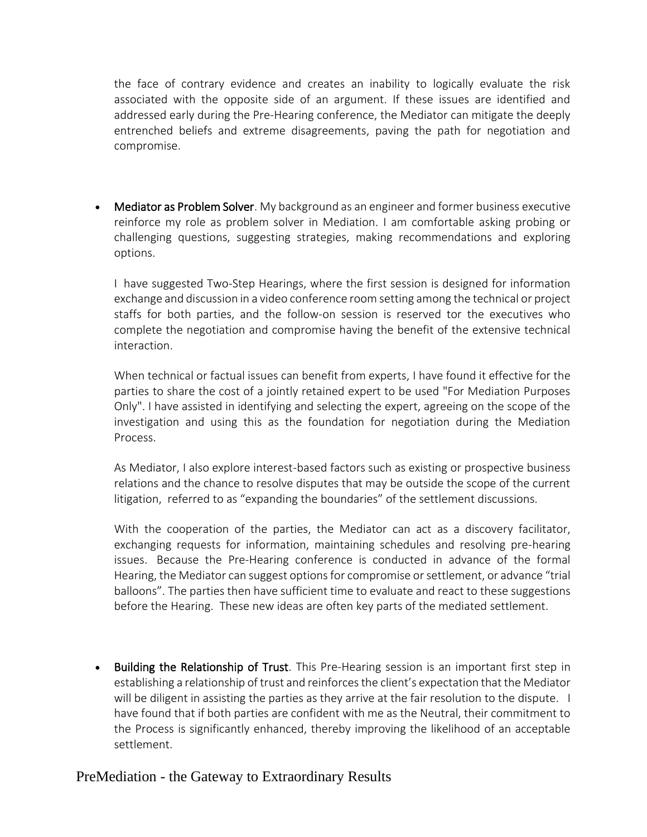the face of contrary evidence and creates an inability to logically evaluate the risk associated with the opposite side of an argument. If these issues are identified and addressed early during the Pre-Hearing conference, the Mediator can mitigate the deeply entrenched beliefs and extreme disagreements, paving the path for negotiation and compromise.

• Mediator as Problem Solver. My background as an engineer and former business executive reinforce my role as problem solver in Mediation. I am comfortable asking probing or challenging questions, suggesting strategies, making recommendations and exploring options.

I have suggested Two-Step Hearings, where the first session is designed for information exchange and discussion in a video conference room setting among the technical or project staffs for both parties, and the follow-on session is reserved tor the executives who complete the negotiation and compromise having the benefit of the extensive technical interaction.

When technical or factual issues can benefit from experts, I have found it effective for the parties to share the cost of a jointly retained expert to be used "For Mediation Purposes Only". I have assisted in identifying and selecting the expert, agreeing on the scope of the investigation and using this as the foundation for negotiation during the Mediation Process.

As Mediator, I also explore interest-based factors such as existing or prospective business relations and the chance to resolve disputes that may be outside the scope of the current litigation, referred to as "expanding the boundaries" of the settlement discussions.

With the cooperation of the parties, the Mediator can act as a discovery facilitator, exchanging requests for information, maintaining schedules and resolving pre-hearing issues. Because the Pre-Hearing conference is conducted in advance of the formal Hearing, the Mediator can suggest options for compromise or settlement, or advance "trial balloons". The parties then have sufficient time to evaluate and react to these suggestions before the Hearing. These new ideas are often key parts of the mediated settlement.

• Building the Relationship of Trust. This Pre-Hearing session is an important first step in establishing a relationship of trust and reinforces the client's expectation that the Mediator will be diligent in assisting the parties as they arrive at the fair resolution to the dispute. I have found that if both parties are confident with me as the Neutral, their commitment to the Process is significantly enhanced, thereby improving the likelihood of an acceptable settlement.

## PreMediation - the Gateway to Extraordinary Results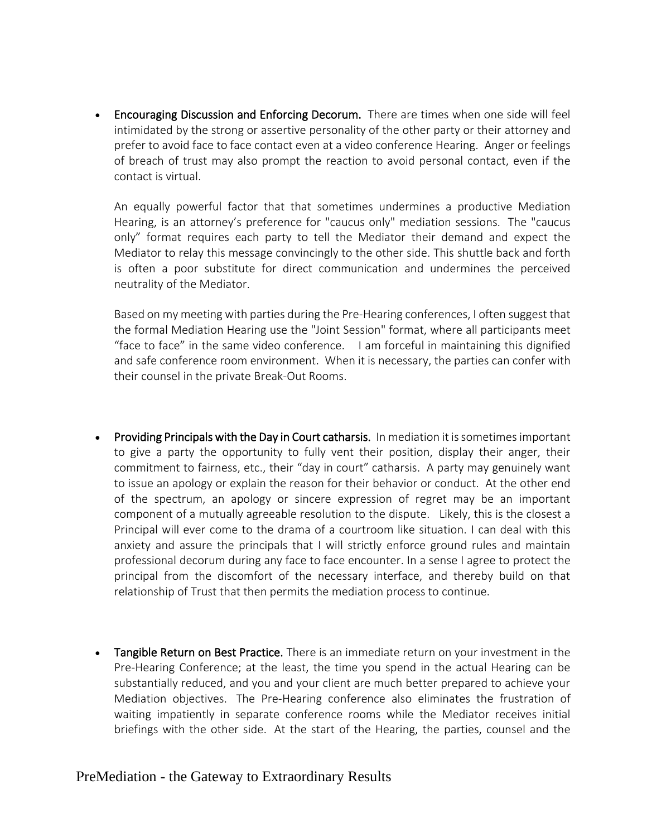• Encouraging Discussion and Enforcing Decorum. There are times when one side will feel intimidated by the strong or assertive personality of the other party or their attorney and prefer to avoid face to face contact even at a video conference Hearing. Anger or feelings of breach of trust may also prompt the reaction to avoid personal contact, even if the contact is virtual.

An equally powerful factor that that sometimes undermines a productive Mediation Hearing, is an attorney's preference for "caucus only" mediation sessions. The "caucus only" format requires each party to tell the Mediator their demand and expect the Mediator to relay this message convincingly to the other side. This shuttle back and forth is often a poor substitute for direct communication and undermines the perceived neutrality of the Mediator.

Based on my meeting with parties during the Pre-Hearing conferences, I often suggest that the formal Mediation Hearing use the "Joint Session" format, where all participants meet "face to face" in the same video conference. I am forceful in maintaining this dignified and safe conference room environment. When it is necessary, the parties can confer with their counsel in the private Break-Out Rooms.

- Providing Principals with the Day in Court catharsis. In mediation it is sometimes important to give a party the opportunity to fully vent their position, display their anger, their commitment to fairness, etc., their "day in court" catharsis. A party may genuinely want to issue an apology or explain the reason for their behavior or conduct. At the other end of the spectrum, an apology or sincere expression of regret may be an important component of a mutually agreeable resolution to the dispute. Likely, this is the closest a Principal will ever come to the drama of a courtroom like situation. I can deal with this anxiety and assure the principals that I will strictly enforce ground rules and maintain professional decorum during any face to face encounter. In a sense I agree to protect the principal from the discomfort of the necessary interface, and thereby build on that relationship of Trust that then permits the mediation process to continue.
- Tangible Return on Best Practice. There is an immediate return on your investment in the Pre-Hearing Conference; at the least, the time you spend in the actual Hearing can be substantially reduced, and you and your client are much better prepared to achieve your Mediation objectives. The Pre-Hearing conference also eliminates the frustration of waiting impatiently in separate conference rooms while the Mediator receives initial briefings with the other side. At the start of the Hearing, the parties, counsel and the